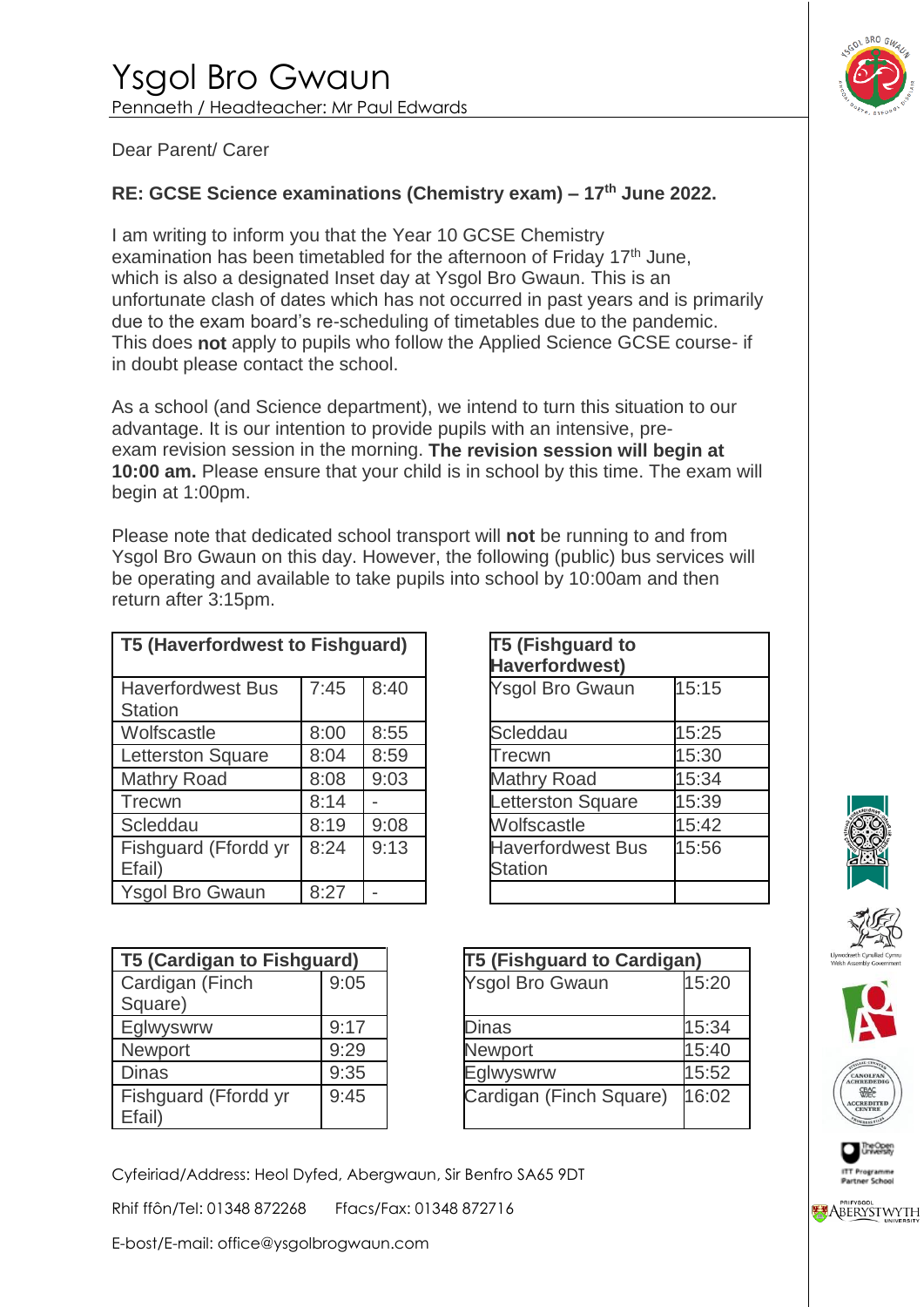

## Dear Parent/ Carer

## **RE: GCSE Science examinations (Chemistry exam) – 17th June 2022.**

I am writing to inform you that the Year 10 GCSE Chemistry examination has been timetabled for the afternoon of Friday 17<sup>th</sup> June, which is also a designated Inset day at Ysgol Bro Gwaun. This is an unfortunate clash of dates which has not occurred in past years and is primarily due to the exam board's re-scheduling of timetables due to the pandemic. This does **not** apply to pupils who follow the Applied Science GCSE course- if in doubt please contact the school.

As a school (and Science department), we intend to turn this situation to our advantage. It is our intention to provide pupils with an intensive, preexam revision session in the morning. **The revision session will begin at 10:00 am.** Please ensure that your child is in school by this time. The exam will begin at 1:00pm.

Please note that dedicated school transport will **not** be running to and from Ysgol Bro Gwaun on this day. However, the following (public) bus services will be operating and available to take pupils into school by 10:00am and then return after 3:15pm.

| T5 (Haverfordwest to Fishguard)            |      |      | <b>T5 (Fishguard to</b><br><b>Haverfordwest)</b> |       |
|--------------------------------------------|------|------|--------------------------------------------------|-------|
| <b>Haverfordwest Bus</b><br><b>Station</b> | 7:45 | 8:40 | <b>Ysgol Bro Gwaun</b>                           | 15:15 |
| Wolfscastle                                | 8:00 | 8:55 | Scleddau                                         | 15:25 |
| <b>Letterston Square</b>                   | 8:04 | 8:59 | Trecwn                                           | 15:30 |
| <b>Mathry Road</b>                         | 8:08 | 9:03 | <b>Mathry Road</b>                               | 15:34 |
| Trecwn                                     | 8:14 |      | Letterston Square                                | 15:39 |
| Scleddau                                   | 8:19 | 9:08 | Wolfscastle                                      | 15:42 |
| Fishguard (Ffordd yr<br>Efail)             | 8:24 | 9:13 | <b>Haverfordwest Bus</b><br><b>Station</b>       | 15:56 |
| <b>Ysgol Bro Gwaun</b>                     | 8:27 |      |                                                  |       |

|      | Fishguard) | T5 (Fishguard to<br><b>Haverfordwest)</b>  |       |
|------|------------|--------------------------------------------|-------|
| 7:45 | 8:40       | <b>Ysgol Bro Gwaun</b>                     | 15:15 |
| 8:00 | 8:55       | Scleddau                                   | 15:25 |
| 8:04 | 8:59       | Trecwn                                     | 15:30 |
| 8:08 | 9:03       | <b>Mathry Road</b>                         | 15:34 |
| 8:14 |            | Letterston Square                          | 15:39 |
| 8:19 | 9:08       | Wolfscastle                                | 15:42 |
| 8:24 | 9:13       | <b>Haverfordwest Bus</b><br><b>Station</b> | 15:56 |
| 8:27 |            |                                            |       |

| <b>T5 (Cardigan to Fishguard)</b> |      | <b>T5 (Fishguard to Cardigan)</b> |       |
|-----------------------------------|------|-----------------------------------|-------|
| Cardigan (Finch<br>Square)        | 9:05 | <b>Ysgol Bro Gwaun</b>            | 15:20 |
| Eglwyswrw                         | 9:17 | <b>Dinas</b>                      | 15:34 |
| <b>Newport</b>                    | 9:29 | <b>Newport</b>                    | 15:40 |
| <b>Dinas</b>                      | 9:35 | Eglwyswrw                         | 15:52 |
| Fishguard (Ffordd yr<br>Efail)    | 9:45 | Cardigan (Finch Square)           | 16:02 |

| ard) |                         | T5 (Fishguard to Cardigan) |  |  |  |
|------|-------------------------|----------------------------|--|--|--|
| 9:05 | <b>Ysgol Bro Gwaun</b>  | 15:20                      |  |  |  |
| 9:17 | Dinas                   | 15:34                      |  |  |  |
| 9:29 | <b>Newport</b>          | 15:40                      |  |  |  |
| 9:35 | Eglwyswrw               | 15:52                      |  |  |  |
| 9:45 | Cardigan (Finch Square) | 16:02                      |  |  |  |



Rhif ffôn/Tel: 01348 872268 Ffacs/Fax: 01348 872716

E-bost/E-mail: office@ysgolbrogwaun.com









**ABERYSTWYTH**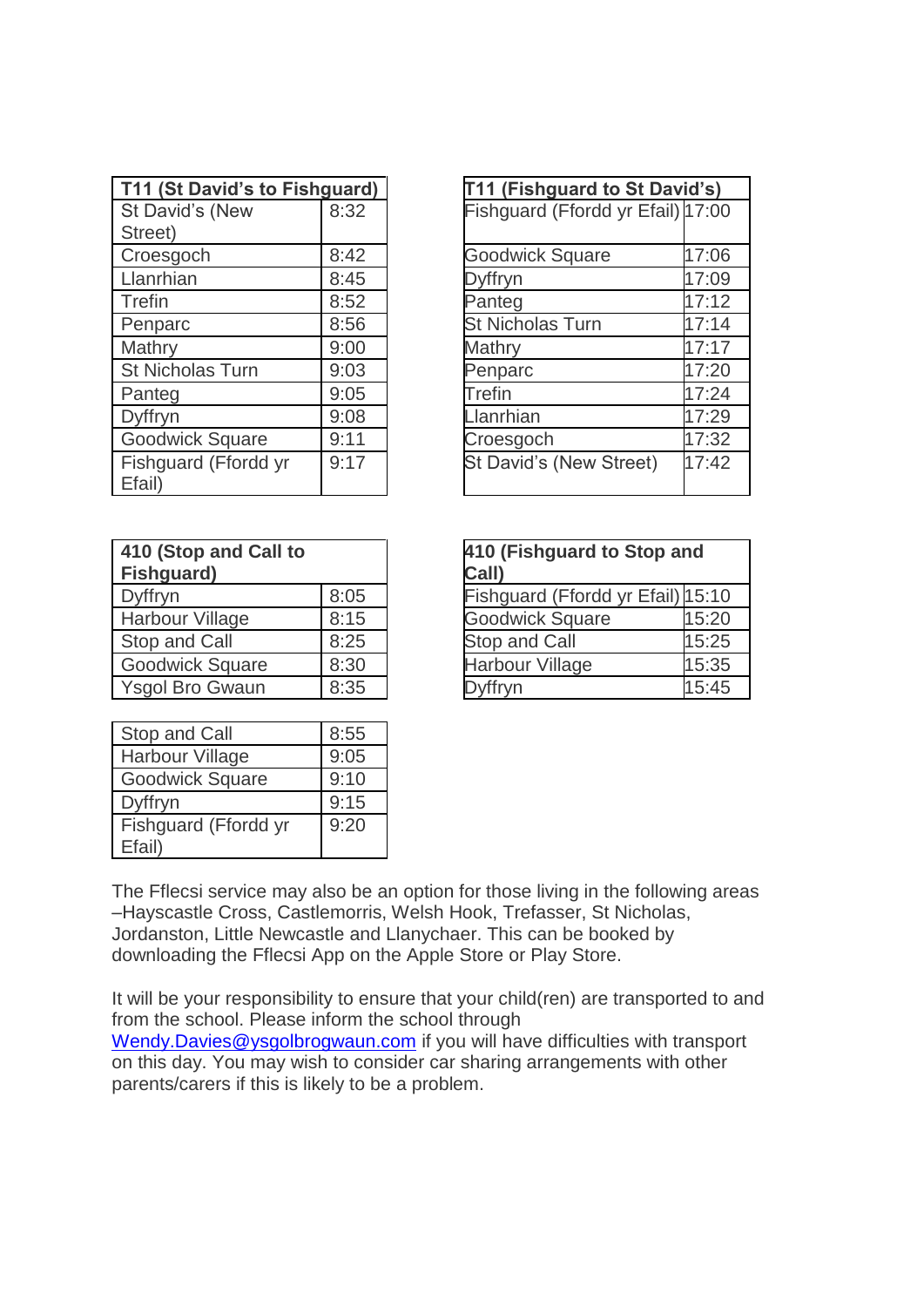| T11 (St David's to Fishguard) |      | T11 (Fishguard to St David's)     |       |
|-------------------------------|------|-----------------------------------|-------|
| St David's (New               | 8:32 | Fishguard (Ffordd yr Efail) 17:00 |       |
| Street)                       |      |                                   |       |
| Croesgoch                     | 8:42 | <b>Goodwick Square</b>            | 17:06 |
| Llanrhian                     | 8:45 | Dyffryn                           | 17:09 |
| Trefin                        | 8:52 | Panteg                            | 17:12 |
| Penparc                       | 8:56 | <b>St Nicholas Turn</b>           | 17:14 |
| Mathry                        | 9:00 | Mathry                            | 17:17 |
| <b>St Nicholas Turn</b>       | 9:03 | Penparc                           | 17:20 |
| Panteg                        | 9:05 | <b>Trefin</b>                     | 17:24 |
| Dyffryn                       | 9:08 | <b>Llanrhian</b>                  | 17:29 |
| <b>Goodwick Square</b>        | 9:11 | Croesgoch                         | 17:32 |
| Fishguard (Ffordd yr          | 9:17 | St David's (New Street)           | 17:42 |
| Efail)                        |      |                                   |       |

| uard) |                                   | T11 (Fishguard to St David's) |  |  |
|-------|-----------------------------------|-------------------------------|--|--|
| 8:32  | Fishguard (Ffordd yr Efail) 17:00 |                               |  |  |
|       |                                   |                               |  |  |
| 8:42  | <b>Goodwick Square</b>            | 17:06                         |  |  |
| 8:45  | <b>Jyffryn</b>                    | 17:09                         |  |  |
| 8:52  | Panteg                            | 17:12                         |  |  |
| 8:56  | <b>St Nicholas Turn</b>           | 17:14                         |  |  |
| 9:00  | Mathry                            | 17:17                         |  |  |
| 9:03  | Penparc                           | 17:20                         |  |  |
| 9:05  | <b>Trefin</b>                     | 17:24                         |  |  |
| 9:08  | lanrhian                          | 17:29                         |  |  |
| 9:11  | Croesgoch                         | 17:32                         |  |  |
| 9:17  | St David's (New Street)           | 17:42                         |  |  |
|       |                                   |                               |  |  |

| 410 (Stop and Call to<br>Fishguard) |      | 410 (Fishguard to Stop and<br>Call) |       |
|-------------------------------------|------|-------------------------------------|-------|
| Dyffryn                             | 8:05 | Fishguard (Ffordd yr Efail) 15:10   |       |
| Harbour Village                     | 8:15 | <b>Goodwick Square</b>              | 15:20 |
| Stop and Call                       | 8:25 | <b>Stop and Call</b>                | 15:25 |
| <b>Goodwick Square</b>              | 8:30 | <b>Harbour Village</b>              | 15:35 |
| <b>Ysgol Bro Gwaun</b>              | 8:35 | <b>Dyffryn</b>                      | 15:45 |

| 410 (Fishguard to Stop and<br>Call) |       |  |  |
|-------------------------------------|-------|--|--|
| Fishguard (Ffordd yr Efail) 15:10   |       |  |  |
| <b>Goodwick Square</b>              | 15:20 |  |  |
| 15:25<br><b>Stop and Call</b>       |       |  |  |
| 15:35<br><b>Harbour Village</b>     |       |  |  |
| Dyffryn                             | 15:45 |  |  |

| Stop and Call                  | 8:55 |
|--------------------------------|------|
| <b>Harbour Village</b>         | 9:05 |
| <b>Goodwick Square</b>         | 9:10 |
| Dyffryn                        | 9:15 |
| Fishguard (Ffordd yr<br>Efail) | 9:20 |

The Fflecsi service may also be an option for those living in the following areas –Hayscastle Cross, Castlemorris, Welsh Hook, Trefasser, St Nicholas, Jordanston, Little Newcastle and Llanychaer. This can be booked by downloading the Fflecsi App on the Apple Store or Play Store.

It will be your responsibility to ensure that your child(ren) are transported to and from the school. Please inform the school through [Wendy.Davies@ysgolbrogwaun.com](mailto:Wendy.Davies@ysgolbrogwaun.com) if you will have difficulties with transport on this day. You may wish to consider car sharing arrangements with other parents/carers if this is likely to be a problem.